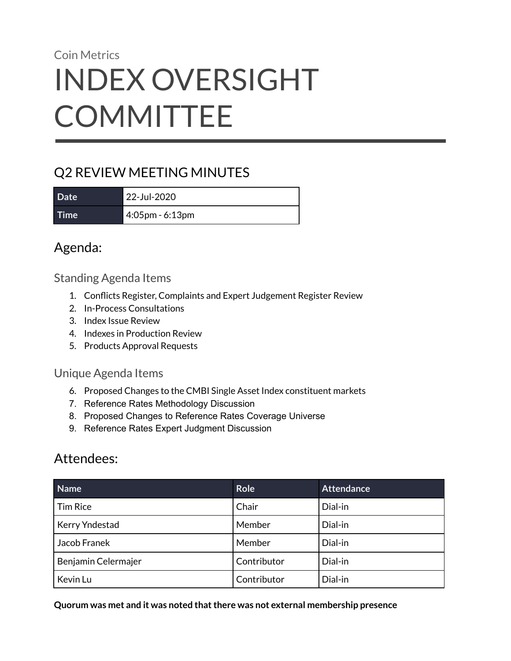# Coin Metrics INDEX OVERSIGHT **COMMITTEE**

# Q2 REVIEW MEETING MINUTES

**Date** 22-Jul-2020 **Time** 4:05pm - 6:13pm

# Agenda:

Standing Agenda Items

- 1. Conflicts Register, Complaints and Expert Judgement Register Review
- 2. In-Process Consultations
- 3. Index Issue Review
- 4. Indexes in Production Review
- 5. Products Approval Requests

### Unique Agenda Items

- 6. Proposed Changes to the CMBI Single Asset Index constituent markets
- 7. Reference Rates Methodology Discussion
- 8. Proposed Changes to Reference Rates Coverage Universe
- 9. Reference Rates Expert Judgment Discussion

# Attendees:

| Name                | <b>Role</b> | <b>Attendance</b> |
|---------------------|-------------|-------------------|
| l Tim Rice          | Chair       | Dial-in           |
| Kerry Yndestad      | Member      | Dial-in           |
| Jacob Franek        | Member      | Dial-in           |
| Benjamin Celermajer | Contributor | Dial-in           |
| Kevin Lu            | Contributor | Dial-in           |

#### **Quorum was met and it was noted thatthere was not external membership presence**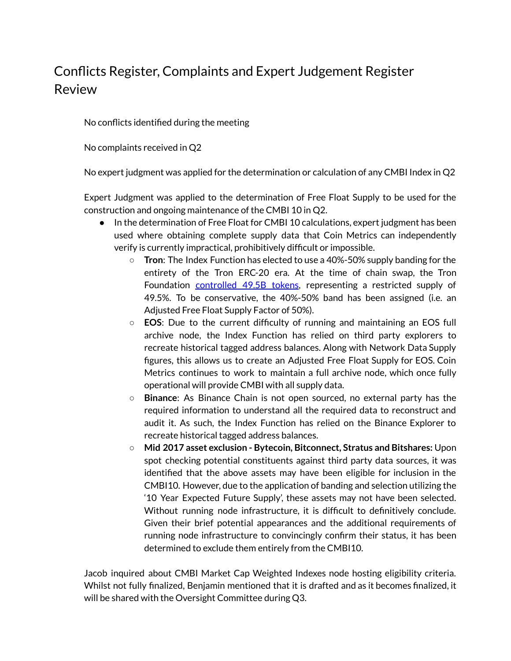# Conflicts Register, Complaints and Expert Judgement Register Review

No conflicts identified during the meeting

No complaints received in Q2

No expert judgment was applied for the determination or calculation of any CMBI Index in Q2

Expert Judgment was applied to the determination of Free Float Supply to be used for the construction and ongoing maintenance of the CMBI 10 in Q2.

- In the determination of Free Float for CMBI 10 calculations, expert judgment has been used where obtaining complete supply data that Coin Metrics can independently verify is currently impractical, prohibitively difficult or impossible.
	- **Tron**: The Index Function has elected to use a 40%-50% supply banding for the entirety of the Tron ERC-20 era. At the time of chain swap, the Tron Foundation [controlled](https://etherscan.io/tx/0xe9adbe7e538ccf9f9d4ede8cc4200581dac131976738d3bbf0eb90700cd8a2b6) 49.5B tokens, representing a restricted supply of 49.5%. To be conservative, the 40%-50% band has been assigned (i.e. an Adjusted Free Float Supply Factor of 50%).
	- **EOS**: Due to the current difficulty of running and maintaining an EOS full archive node, the Index Function has relied on third party explorers to recreate historical tagged address balances. Along with Network Data Supply figures, this allows us to create an Adjusted Free Float Supply for EOS. Coin Metrics continues to work to maintain a full archive node, which once fully operational will provide CMBI with all supply data.
	- **Binance**: As Binance Chain is not open sourced, no external party has the required information to understand all the required data to reconstruct and audit it. As such, the Index Function has relied on the Binance Explorer to recreate historical tagged address balances.
	- **○ Mid 2017 asset exclusion - Bytecoin, Bitconnect, Stratus and Bitshares:** Upon spot checking potential constituents against third party data sources, it was identified that the above assets may have been eligible for inclusion in the CMBI10. However, due to the application of banding and selection utilizing the '10 Year Expected Future Supply', these assets may not have been selected. Without running node infrastructure, it is difficult to definitively conclude. Given their brief potential appearances and the additional requirements of running node infrastructure to convincingly confirm their status, it has been determined to exclude them entirely from the CMBI10.

Jacob inquired about CMBI Market Cap Weighted Indexes node hosting eligibility criteria. Whilst not fully finalized, Benjamin mentioned that it is drafted and as it becomes finalized, it will be shared with the Oversight Committee during Q3.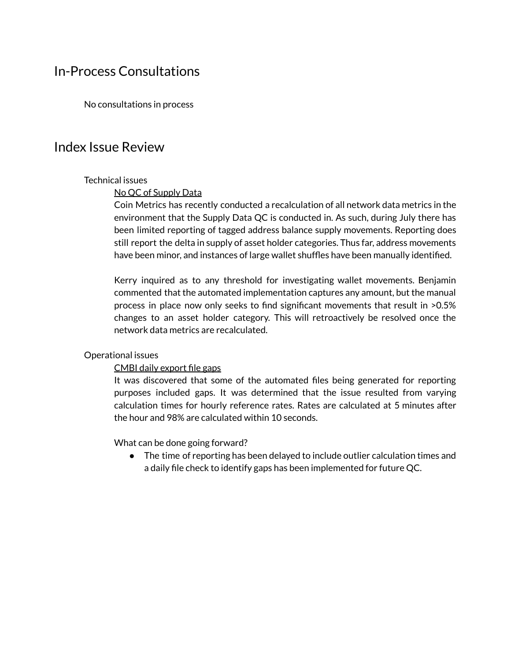### In-Process Consultations

No consultations in process

### Index Issue Review

#### Technical issues

#### No QC of Supply Data

Coin Metrics has recently conducted a recalculation of all network data metrics in the environment that the Supply Data QC is conducted in. As such, during July there has been limited reporting of tagged address balance supply movements. Reporting does still report the delta in supply of asset holder categories. Thus far, address movements have been minor, and instances of large wallet shuffles have been manually identified.

Kerry inquired as to any threshold for investigating wallet movements. Benjamin commented that the automated implementation captures any amount, but the manual process in place now only seeks to find significant movements that result in >0.5% changes to an asset holder category. This will retroactively be resolved once the network data metrics are recalculated.

#### Operational issues

#### CMBI daily export file gaps

It was discovered that some of the automated files being generated for reporting purposes included gaps. It was determined that the issue resulted from varying calculation times for hourly reference rates. Rates are calculated at 5 minutes after the hour and 98% are calculated within 10 seconds.

What can be done going forward?

● The time of reporting has been delayed to include outlier calculation times and a daily file check to identify gaps has been implemented for future QC.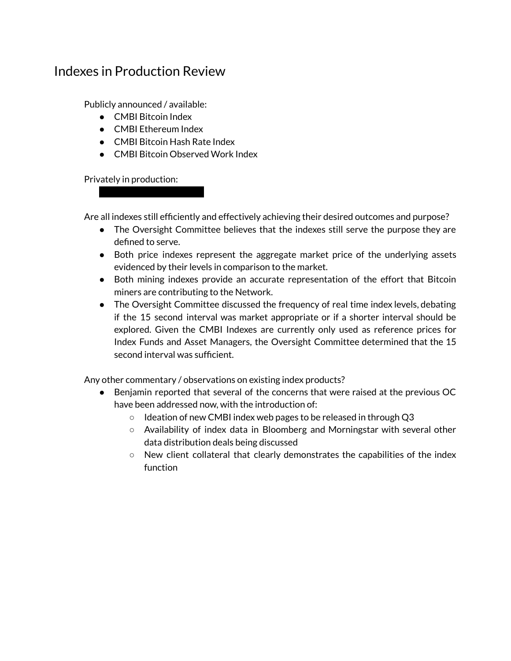### Indexes in Production Review

Publicly announced / available:

- CMBI Bitcoin Index
- CMBI Ethereum Index

● XXXXXX Bitcoin Index

- CMBI Bitcoin Hash Rate Index
- CMBI Bitcoin Observed Work Index

Privately in production:

Are all indexes still efficiently and effectively achieving their desired outcomes and purpose?

- The Oversight Committee believes that the indexes still serve the purpose they are defined to serve.
- Both price indexes represent the aggregate market price of the underlying assets evidenced by their levels in comparison to the market.
- Both mining indexes provide an accurate representation of the effort that Bitcoin miners are contributing to the Network.
- The Oversight Committee discussed the frequency of real time index levels, debating if the 15 second interval was market appropriate or if a shorter interval should be explored. Given the CMBI Indexes are currently only used as reference prices for Index Funds and Asset Managers, the Oversight Committee determined that the 15 second interval was sufficient.

Any other commentary / observations on existing index products?

- Benjamin reported that several of the concerns that were raised at the previous OC have been addressed now, with the introduction of:
	- Ideation of new CMBI index web pages to be released in through Q3
	- Availability of index data in Bloomberg and Morningstar with several other data distribution deals being discussed
	- $\circ$  New client collateral that clearly demonstrates the capabilities of the index function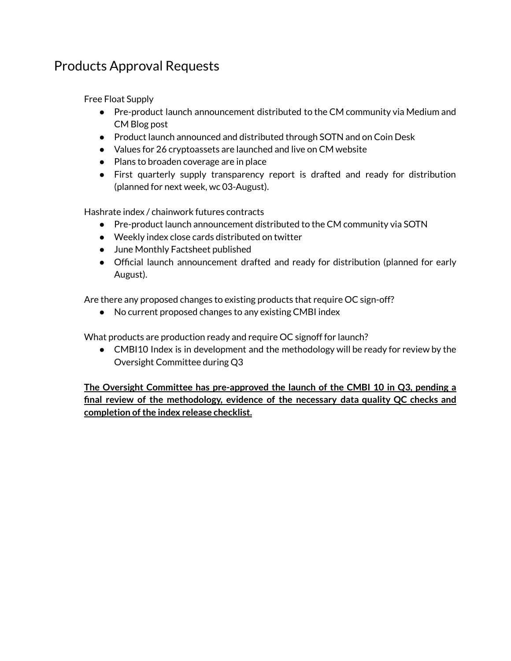# Products Approval Requests

Free Float Supply

- Pre-product launch announcement distributed to the CM community via Medium and CM Blog post
- Product launch announced and distributed through SOTN and on Coin Desk
- Values for 26 cryptoassets are launched and live on CM website
- Plans to broaden coverage are in place
- First quarterly supply transparency report is drafted and ready for distribution (planned for next week, wc 03-August).

Hashrate index / chainwork futures contracts

- Pre-product launch announcement distributed to the CM community via SOTN
- Weekly index close cards distributed on twitter
- June Monthly Factsheet published
- Official launch announcement drafted and ready for distribution (planned for early August).

Are there any proposed changes to existing products that require OC sign-off?

● No current proposed changes to any existing CMBI index

What products are production ready and require OC signoff for launch?

• CMBI10 Index is in development and the methodology will be ready for review by the Oversight Committee during Q3

**The Oversight Committee has pre-approved the launch of the CMBI 10 in Q3, pending a final review of the methodology, evidence of the necessary data quality QC checks and completion ofthe index release checklist.**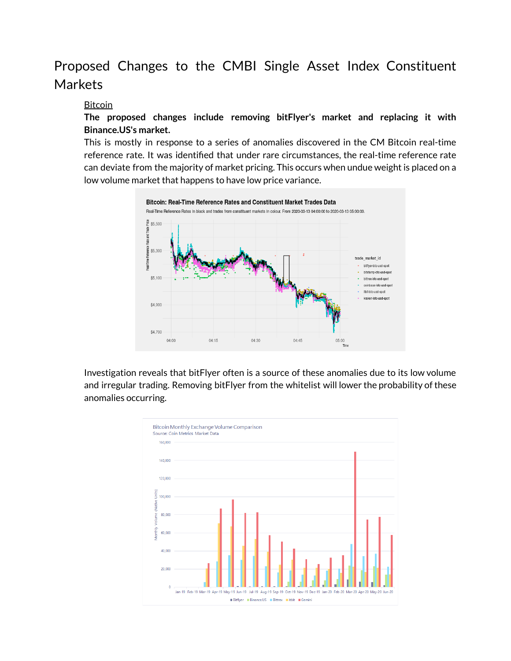# Proposed Changes to the CMBI Single Asset Index Constituent Markets

#### Bitcoin

**The proposed changes include removing bitFlyer's market and replacing it with Binance.US's market.**

This is mostly in response to a series of anomalies discovered in the CM Bitcoin real-time reference rate. It was identified that under rare circumstances, the real-time reference rate can deviate from the majority of market pricing. This occurs when undue weight is placed on a low volume market that happens to have low price variance.



Investigation reveals that bitFlyer often is a source of these anomalies due to its low volume and irregular trading. Removing bitFlyer from the whitelist will lower the probability of these anomalies occurring.

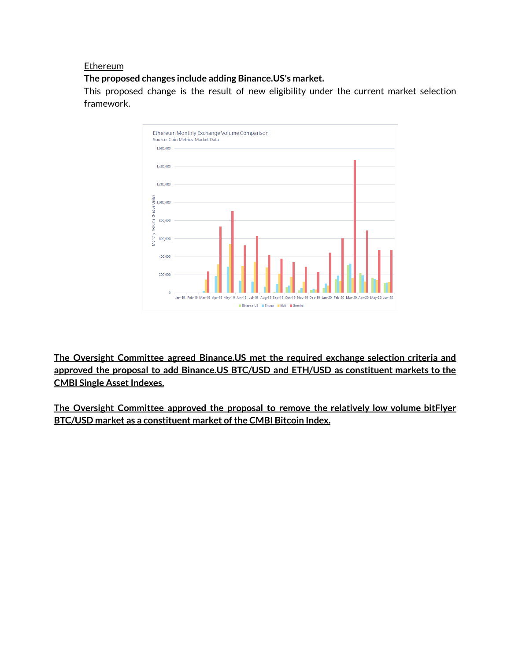#### **Ethereum**

**The proposed changes include adding Binance.US's market.**

This proposed change is the result of new eligibility under the current market selection framework.



**The Oversight Committee agreed Binance.US met the required exchange selection criteria and approved the proposal to add Binance.US BTC/USD and ETH/USD as constituent markets to the CMBI** Single Asset Indexes.

**The Oversight Committee approved the proposal to remove the relatively low volume bitFlyer BTC/USD market as a constituent market ofthe CMBI Bitcoin Index.**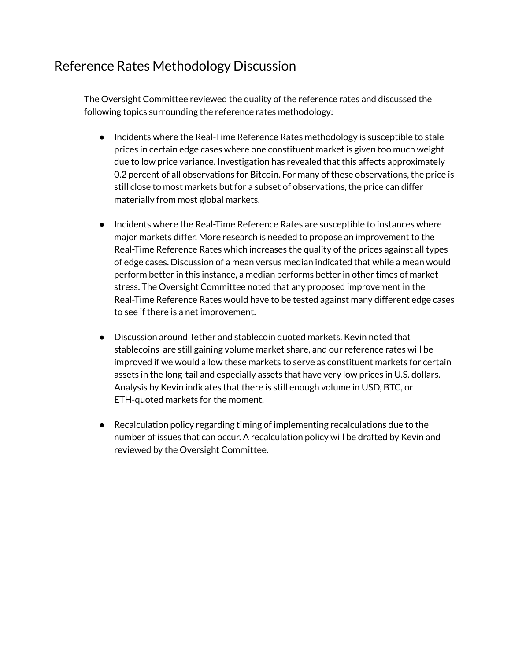# Reference Rates Methodology Discussion

The Oversight Committee reviewed the quality of the reference rates and discussed the following topics surrounding the reference rates methodology:

- Incidents where the Real-Time Reference Rates methodology is susceptible to stale prices in certain edge cases where one constituent market is given too much weight due to low price variance. Investigation has revealed that this affects approximately 0.2 percent of all observations for Bitcoin. For many of these observations, the price is still close to most markets but for a subset of observations, the price can differ materially from most global markets.
- Incidents where the Real-Time Reference Rates are susceptible to instances where major markets differ. More research is needed to propose an improvement to the Real-Time Reference Rates which increases the quality of the prices against all types of edge cases. Discussion of a mean versus median indicated that while a mean would perform better in this instance, a median performs better in other times of market stress. The Oversight Committee noted that any proposed improvement in the Real-Time Reference Rates would have to be tested against many different edge cases to see if there is a net improvement.
- Discussion around Tether and stablecoin quoted markets. Kevin noted that stablecoins are still gaining volume market share, and our reference rates will be improved if we would allow these markets to serve as constituent markets for certain assets in the long-tail and especially assets that have very low prices in U.S. dollars. Analysis by Kevin indicates that there is still enough volume in USD, BTC, or ETH-quoted markets for the moment.
- Recalculation policy regarding timing of implementing recalculations due to the number of issues that can occur. A recalculation policy will be drafted by Kevin and reviewed by the Oversight Committee.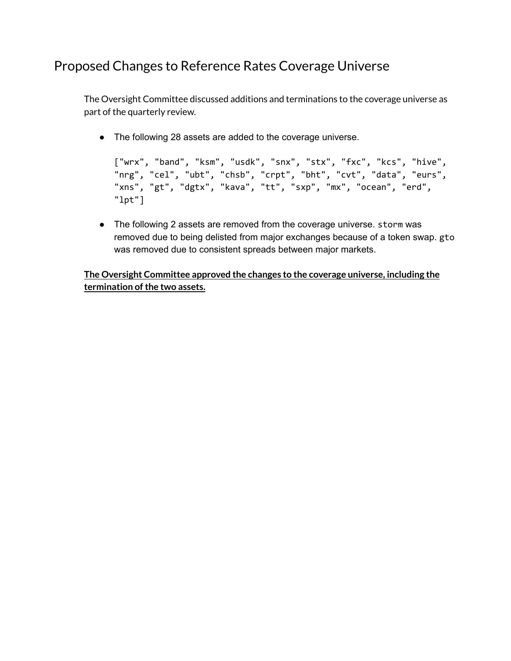# Proposed Changes to Reference Rates Coverage Universe

The Oversight Committee discussed additions and terminations to the coverage universe as part of the quarterly review.

● The following 28 assets are added to the coverage universe.

```
["wrx", "band", "ksm", "usdk", "snx", "stx", "fxc", "kcs", "hive",
"nrg", "cel", "ubt", "chsb", "crpt", "bht", "cvt", "data", "eurs",
"xns", "gt", "dgtx", "kava", "tt", "sxp", "mx", "ocean", "erd",
"lpt"]
```
• The following 2 assets are removed from the coverage universe. storm was removed due to being delisted from major exchanges because of a token swap. gto was removed due to consistent spreads between major markets.

**The Oversight Committee approved the changes to the coverage universe, including the termination of the two assets.**